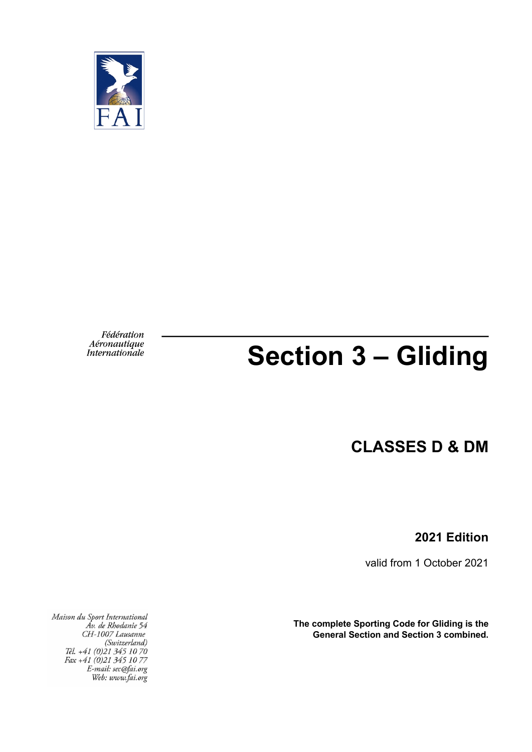

Fédération Aéronautique<br>Internationale

# **Section 3 – Gliding**

**CLASSES D & DM**

**2021 Edition**

valid from 1 October 2021

**The complete Sporting Code for Gliding is the General Section and Section 3 combined.**

Maison du Sport International<br>Av. de Rhodanie 54<br>CH-1007 Lausanne CH-100/ Lausanne<br>(Switzerland)<br>Tél. +41 (0)21 345 10 70<br>Fax +41 (0)21 345 10 77<br>E-mail: sec@fai.org<br>Web: www.fai.org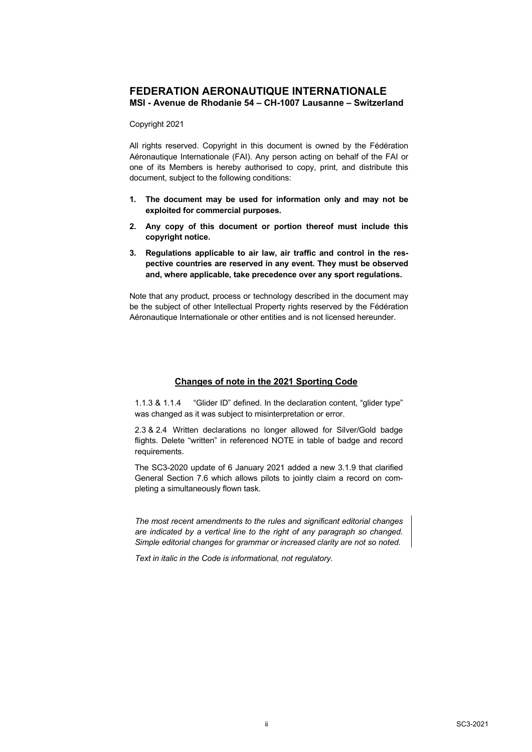### **FEDERATION AERONAUTIQUE INTERNATIONALE MSI - Avenue de Rhodanie 54 – CH-1007 Lausanne – Switzerland**

#### Copyright 2021

All rights reserved. Copyright in this document is owned by the Fédération Aéronautique Internationale (FAI). Any person acting on behalf of the FAI or one of its Members is hereby authorised to copy, print, and distribute this document, subject to the following conditions:

- **1. The document may be used for information only and may not be exploited for commercial purposes.**
- **2. Any copy of this document or portion thereof must include this copyright notice.**
- **3. Regulations applicable to air law, air traffic and control in the respective countries are reserved in any event. They must be observed and, where applicable, take precedence over any sport regulations.**

Note that any product, process or technology described in the document may be the subject of other Intellectual Property rights reserved by the Fédération Aéronautique Internationale or other entities and is not licensed hereunder.

### **Changes of note in the 2021 Sporting Code**

1.1.3 & 1.1.4 "Glider ID" defined. In the declaration content, "glider type" was changed as it was subject to misinterpretation or error.

2.3 & 2.4 Written declarations no longer allowed for Silver/Gold badge flights. Delete "written" in referenced NOTE in table of badge and record requirements.

The SC3-2020 update of 6 January 2021 added a new 3.1.9 that clarified General Section 7.6 which allows pilots to jointly claim a record on completing a simultaneously flown task.

*The most recent amendments to the rules and significant editorial changes are indicated by a vertical line to the right of any paragraph so changed. Simple editorial changes for grammar or increased clarity are not so noted.*

*Text in italic in the Code is informational, not regulatory.*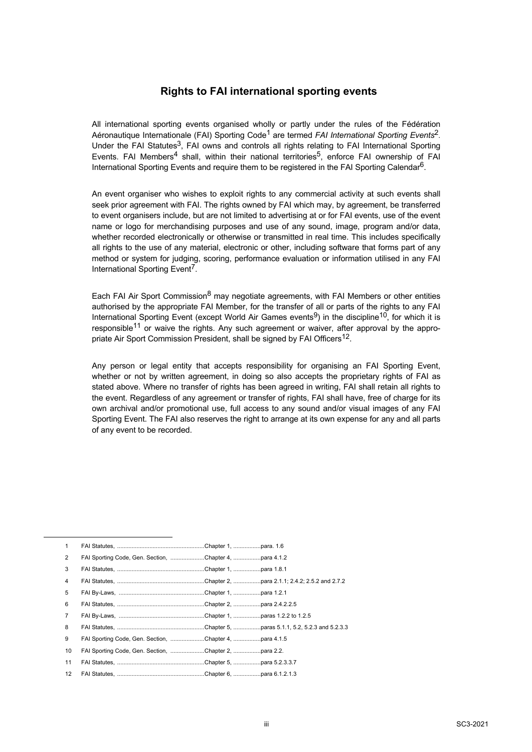### **Rights to FAI international sporting events**

All international sporting events organised wholly or partly under the rules of the Fédération Aéronautique Internationale (FAI) Sporting Code1 are termed *FAI International Sporting Events*2. Under the FAI Statutes<sup>3</sup>, FAI owns and controls all rights relating to FAI International Sporting Events. FAI Members<sup>4</sup> shall, within their national territories<sup>5</sup>, enforce FAI ownership of FAI International Sporting Events and require them to be registered in the FAI Sporting Calendar<sup>6</sup>.

An event organiser who wishes to exploit rights to any commercial activity at such events shall seek prior agreement with FAI. The rights owned by FAI which may, by agreement, be transferred to event organisers include, but are not limited to advertising at or for FAI events, use of the event name or logo for merchandising purposes and use of any sound, image, program and/or data, whether recorded electronically or otherwise or transmitted in real time. This includes specifically all rights to the use of any material, electronic or other, including software that forms part of any method or system for judging, scoring, performance evaluation or information utilised in any FAI International Sporting Event<sup>7</sup>.

Each FAI Air Sport Commission<sup>8</sup> may negotiate agreements, with FAI Members or other entities authorised by the appropriate FAI Member, for the transfer of all or parts of the rights to any FAI International Sporting Event (except World Air Games events<sup>9</sup>) in the discipline<sup>10</sup>, for which it is responsible<sup>11</sup> or waive the rights. Any such agreement or waiver, after approval by the appropriate Air Sport Commission President, shall be signed by FAI Officers<sup>12</sup>.

Any person or legal entity that accepts responsibility for organising an FAI Sporting Event, whether or not by written agreement, in doing so also accepts the proprietary rights of FAI as stated above. Where no transfer of rights has been agreed in writing. FAI shall retain all rights to the event. Regardless of any agreement or transfer of rights, FAI shall have, free of charge for its own archival and/or promotional use, full access to any sound and/or visual images of any FAI Sporting Event. The FAI also reserves the right to arrange at its own expense for any and all parts of any event to be recorded.

| 1              |                                                        |  |
|----------------|--------------------------------------------------------|--|
| $\overline{2}$ | FAI Sporting Code, Gen. Section, Chapter 4, para 4.1.2 |  |
| 3              |                                                        |  |
| 4              |                                                        |  |
| 5              |                                                        |  |
| 6              |                                                        |  |
| $\overline{7}$ |                                                        |  |
| 8              |                                                        |  |
| 9              | FAI Sporting Code, Gen. Section, Chapter 4, para 4.1.5 |  |
| 10             | FAI Sporting Code, Gen. Section, Chapter 2, para 2.2.  |  |
| 11             |                                                        |  |
| 12             |                                                        |  |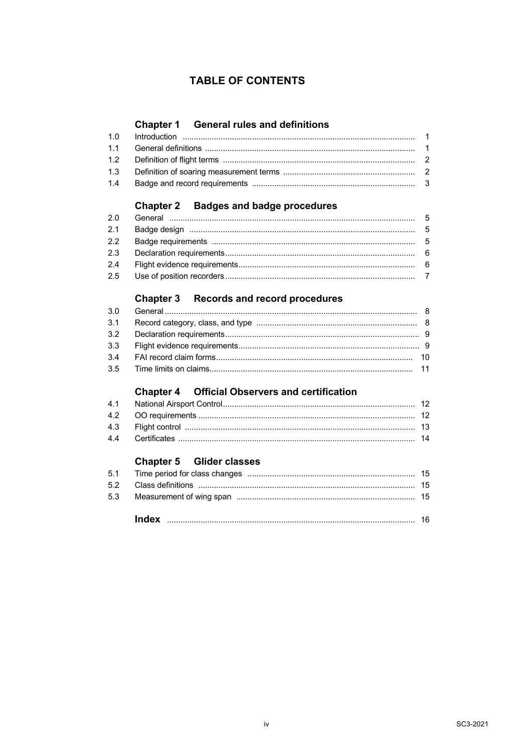### **TABLE OF CONTENTS**

### **Chapter 1 General rules and definitions**

### **Chapter 2 Badges and badge procedures**

### Chapter 3 Records and record procedures

### **Chapter 4 Official Observers and certification**

### **Chapter 5 Glider classes**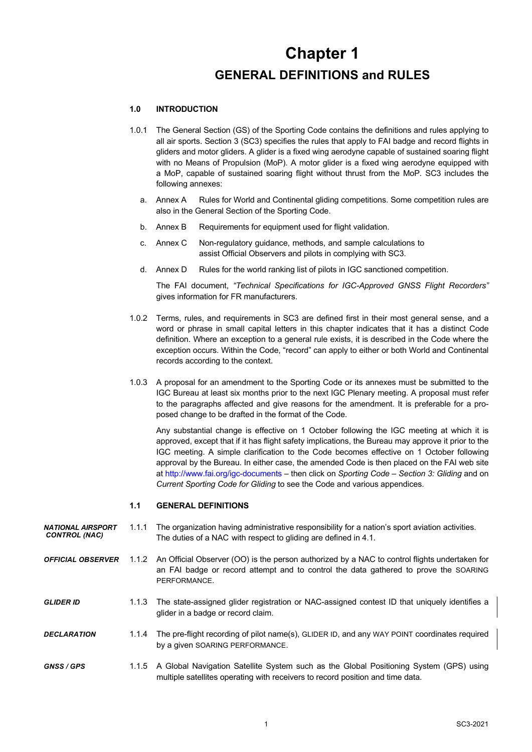# **Chapter 1 GENERAL DEFINITIONS and RULES**

### **1.0 INTRODUCTION**

- 1.0.1 The General Section (GS) of the Sporting Code contains the definitions and rules applying to all air sports. Section 3 (SC3) specifies the rules that apply to FAI badge and record flights in gliders and motor gliders. A glider is a fixed wing aerodyne capable of sustained soaring flight with no Means of Propulsion (MoP). A motor glider is a fixed wing aerodyne equipped with a MoP, capable of sustained soaring flight without thrust from the MoP. SC3 includes the following annexes:
	- a. Annex A Rules for World and Continental gliding competitions. Some competition rules are also in the General Section of the Sporting Code.
	- b. Annex B Requirements for equipment used for flight validation.
	- c. Annex C Non-regulatory guidance, methods, and sample calculations to assist Official Observers and pilots in complying with SC3.
	- d. Annex D Rules for the world ranking list of pilots in IGC sanctioned competition.

The FAI document, *"Technical Specifications for IGC-Approved GNSS Flight Recorders"* gives information for FR manufacturers.

- 1.0.2 Terms, rules, and requirements in SC3 are defined first in their most general sense, and a word or phrase in small capital letters in this chapter indicates that it has a distinct Code definition. Where an exception to a general rule exists, it is described in the Code where the exception occurs. Within the Code, "record" can apply to either or both World and Continental records according to the context.
- 1.0.3 A proposal for an amendment to the Sporting Code or its annexes must be submitted to the IGC Bureau at least six months prior to the next IGC Plenary meeting. A proposal must refer to the paragraphs affected and give reasons for the amendment. It is preferable for a proposed change to be drafted in the format of the Code.

Any substantial change is effective on 1 October following the IGC meeting at which it is approved, except that if it has flight safety implications, the Bureau may approve it prior to the IGC meeting. A simple clarification to the Code becomes effective on 1 October following approval by the Bureau. In either case, the amended Code is then placed on the FAI web site at http://www.fai.org/igc-documents – then click on *Sporting Code – Section 3: Gliding* and on *Current Sporting Code for Gliding* to see the Code and various appendices.

#### **1.1 GENERAL DEFINITIONS**

- *NATIONAL AIRSPORT* 1.1.1 The organization having administrative responsibility for a nation's sport aviation activities.<br>CONTROL (MAC) The duties of a NAC with respect to gliding are defined in 4.1 The duties of a NAC with respect to gliding are defined in 4.1.
- *OFFICIAL OBSERVER* 1.1.2 An Official Observer (OO) is the person authorized by a NAC to control flights undertaken for an FAI badge or record attempt and to control the data gathered to prove the SOARING PERFORMANCE.

*GLIDER ID* 1.1.3 The state-assigned glider registration or NAC-assigned contest ID that uniquely identifies a glider in a badge or record claim.

- *DECLARATION* 1.1.4 The pre-flight recording of pilot name(s), GLIDER ID, and any WAY POINT coordinates required by a given SOARING PERFORMANCE.
- *GNSS / GPS* 1.1.5 A Global Navigation Satellite System such as the Global Positioning System (GPS) using multiple satellites operating with receivers to record position and time data.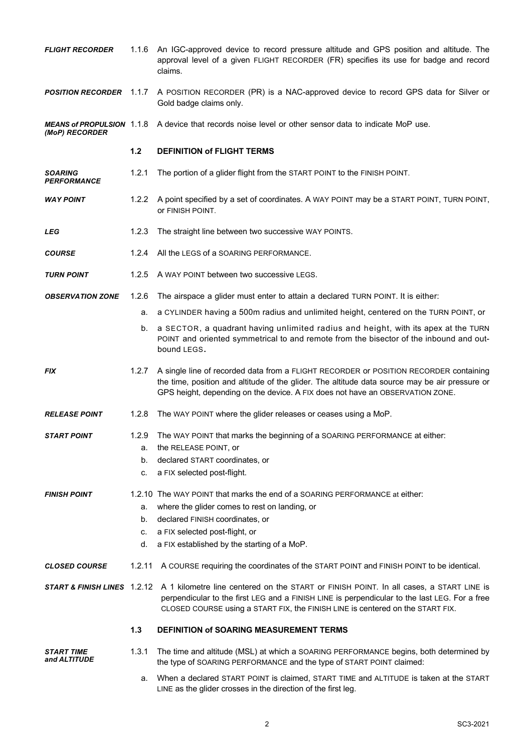| <b>FLIGHT RECORDER</b>                             | 1.1.6  | An IGC-approved device to record pressure altitude and GPS position and altitude. The<br>approval level of a given FLIGHT RECORDER (FR) specifies its use for badge and record<br>claims.                                                                                                                         |
|----------------------------------------------------|--------|-------------------------------------------------------------------------------------------------------------------------------------------------------------------------------------------------------------------------------------------------------------------------------------------------------------------|
| <b>POSITION RECORDER</b> 1.1.7                     |        | A POSITION RECORDER (PR) is a NAC-approved device to record GPS data for Silver or<br>Gold badge claims only.                                                                                                                                                                                                     |
| <b>MEANS of PROPULSION 1.1.8</b><br>(MoP) RECORDER |        | A device that records noise level or other sensor data to indicate MoP use.                                                                                                                                                                                                                                       |
|                                                    | $1.2$  | <b>DEFINITION of FLIGHT TERMS</b>                                                                                                                                                                                                                                                                                 |
| <b>SOARING</b><br><b>PERFORMANCE</b>               | 1.2.1  | The portion of a glider flight from the START POINT to the FINISH POINT.                                                                                                                                                                                                                                          |
| <b>WAY POINT</b>                                   | 1.2.2  | A point specified by a set of coordinates. A WAY POINT may be a START POINT, TURN POINT,<br>OF FINISH POINT.                                                                                                                                                                                                      |
| LEG                                                | 1.2.3  | The straight line between two successive WAY POINTS.                                                                                                                                                                                                                                                              |
| <b>COURSE</b>                                      | 1.2.4  | All the LEGS of a SOARING PERFORMANCE.                                                                                                                                                                                                                                                                            |
| <b>TURN POINT</b>                                  | 1.2.5  | A WAY POINT between two successive LEGS.                                                                                                                                                                                                                                                                          |
| <b>OBSERVATION ZONE</b>                            | 1.2.6  | The airspace a glider must enter to attain a declared TURN POINT. It is either:                                                                                                                                                                                                                                   |
|                                                    | a.     | a CYLINDER having a 500m radius and unlimited height, centered on the TURN POINT, or                                                                                                                                                                                                                              |
|                                                    | b.     | a SECTOR, a quadrant having unlimited radius and height, with its apex at the TURN<br>POINT and oriented symmetrical to and remote from the bisector of the inbound and out-<br>bound LEGS.                                                                                                                       |
| FIX                                                | 1.2.7  | A single line of recorded data from a FLIGHT RECORDER or POSITION RECORDER containing<br>the time, position and altitude of the glider. The altitude data source may be air pressure or<br>GPS height, depending on the device. A FIX does not have an OBSERVATION ZONE.                                          |
| <b>RELEASE POINT</b>                               | 1.2.8  | The WAY POINT where the glider releases or ceases using a MoP.                                                                                                                                                                                                                                                    |
| START POINT                                        | 1.2.9  | The WAY POINT that marks the beginning of a SOARING PERFORMANCE at either:                                                                                                                                                                                                                                        |
|                                                    | a.     | the RELEASE POINT, or                                                                                                                                                                                                                                                                                             |
|                                                    | b.     | declared START coordinates, or                                                                                                                                                                                                                                                                                    |
|                                                    | c.     | a FIX selected post-flight.                                                                                                                                                                                                                                                                                       |
| <b>FINISH POINT</b>                                |        | 1.2.10 The WAY POINT that marks the end of a SOARING PERFORMANCE at either:                                                                                                                                                                                                                                       |
|                                                    | a.     | where the glider comes to rest on landing, or                                                                                                                                                                                                                                                                     |
|                                                    | b.     | declared FINISH coordinates, or                                                                                                                                                                                                                                                                                   |
|                                                    | c.     | a FIX selected post-flight, or                                                                                                                                                                                                                                                                                    |
|                                                    | d.     | a FIX established by the starting of a MoP.                                                                                                                                                                                                                                                                       |
| <b>CLOSED COURSE</b>                               | 1.2.11 | A COURSE requiring the coordinates of the START POINT and FINISH POINT to be identical.                                                                                                                                                                                                                           |
|                                                    |        | <b>START &amp; FINISH LINES</b> 1.2.12 A 1 kilometre line centered on the START or FINISH POINT. In all cases, a START LINE is<br>perpendicular to the first LEG and a FINISH LINE is perpendicular to the last LEG. For a free<br>CLOSED COURSE using a START FIX, the FINISH LINE is centered on the START FIX. |
|                                                    | $1.3$  | <b>DEFINITION of SOARING MEASUREMENT TERMS</b>                                                                                                                                                                                                                                                                    |
| <i><b>START TIME</b></i><br>and ALTITUDE           | 1.3.1  | The time and altitude (MSL) at which a SOARING PERFORMANCE begins, both determined by<br>the type of SOARING PERFORMANCE and the type of START POINT claimed:                                                                                                                                                     |
|                                                    |        | When a declared START POINT is claimed. START TIME and ALTITUDE is taken at the START                                                                                                                                                                                                                             |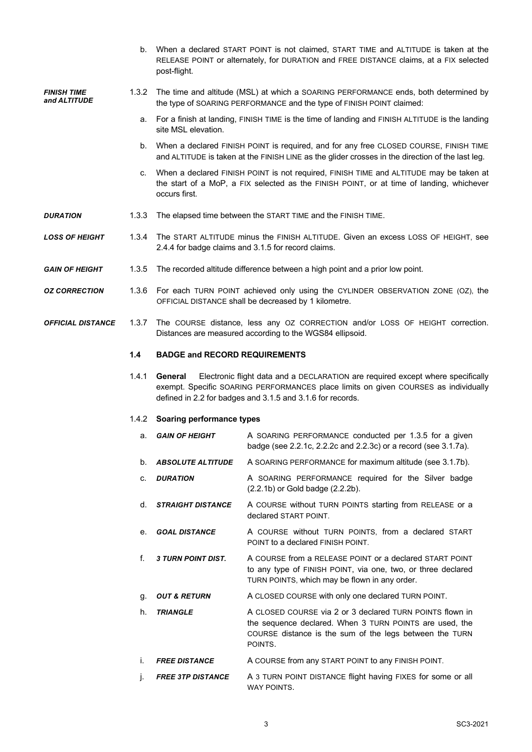b. When a declared START POINT is not claimed, START TIME and ALTITUDE is taken at the RELEASE POINT or alternately, for DURATION and FREE DISTANCE claims, at a FIX selected post-flight.

- **FINISH TIME** 1.3.2 The time and altitude (MSL) at which a SOARING PERFORMANCE ends, both determined by and **ALTITUDE** the type of SOARING PERFORMANCE and the type of FINISH POINT claimed:
	- a. For a finish at landing, FINISH TIME is the time of landing and FINISH ALTITUDE is the landing site MSL elevation.
	- b. When a declared FINISH POINT is required, and for any free CLOSED COURSE, FINISH TIME and ALTITUDE is taken at the FINISH LINE as the glider crosses in the direction of the last leg.
	- c. When a declared FINISH POINT is not required, FINISH TIME and ALTITUDE may be taken at the start of a MoP, a FIX selected as the FINISH POINT, or at time of landing, whichever occurs first.
- **DURATION** 1.3.3 The elapsed time between the START TIME and the FINISH TIME.

*LOSS OF HEIGHT* 1.3.4 The START ALTITUDE minus the FINISH ALTITUDE. Given an excess LOSS OF HEIGHT, see 2.4.4 for badge claims and 3.1.5 for record claims.

- *GAIN OF HEIGHT* 1.3.5 The recorded altitude difference between a high point and a prior low point.
- *OZ CORRECTION* 1.3.6 For each TURN POINT achieved only using the CYLINDER OBSERVATION ZONE (OZ), the OFFICIAL DISTANCE shall be decreased by 1 kilometre.
- *OFFICIAL DISTANCE* 1.3.7 The COURSE distance, less any OZ CORRECTION and/or LOSS OF HEIGHT correction. Distances are measured according to the WGS84 ellipsoid.

#### **1.4 BADGE and RECORD REQUIREMENTS**

1.4.1 **General** Electronic flight data and a DECLARATION are required except where specifically exempt. Specific SOARING PERFORMANCES place limits on given COURSES as individually defined in 2.2 for badges and 3.1.5 and 3.1.6 for records.

#### 1.4.2 **Soaring performance types**

- a. **GAIN OF HEIGHT** A SOARING PERFORMANCE conducted per 1.3.5 for a given badge (see 2.2.1c, 2.2.2c and 2.2.3c) or a record (see 3.1.7a).
- b. *ABSOLUTE ALTITUDE* A SOARING PERFORMANCE for maximum altitude (see 3.1.7b).
- c. *DURATION* A SOARING PERFORMANCE required for the Silver badge (2.2.1b) or Gold badge (2.2.2b).
- d. *STRAIGHT DISTANCE* A COURSE without TURN POINTS starting from RELEASE or a declared START POINT.
- e. *GOAL DISTANCE* A COURSE without TURN POINTS, from a declared START POINT to a declared FINISH POINT.
- f. *3 TURN POINT DIST.* A COURSE from a RELEASE POINT or a declared START POINT to any type of FINISH POINT, via one, two, or three declared TURN POINTS, which may be flown in any order.
- g. **OUT & RETURN** A CLOSED COURSE with only one declared TURN POINT.
- h. **TRIANGLE** A CLOSED COURSE via 2 or 3 declared TURN POINTS flown in the sequence declared. When 3 TURN POINTS are used, the COURSE distance is the sum of the legs between the TURN POINTS.
- i. **FREE DISTANCE** A COURSE from any START POINT to any FINISH POINT.
- j. *FREE 3TP DISTANCE* A 3 TURN POINT DISTANCE flight having FIXES for some or all WAY POINTS.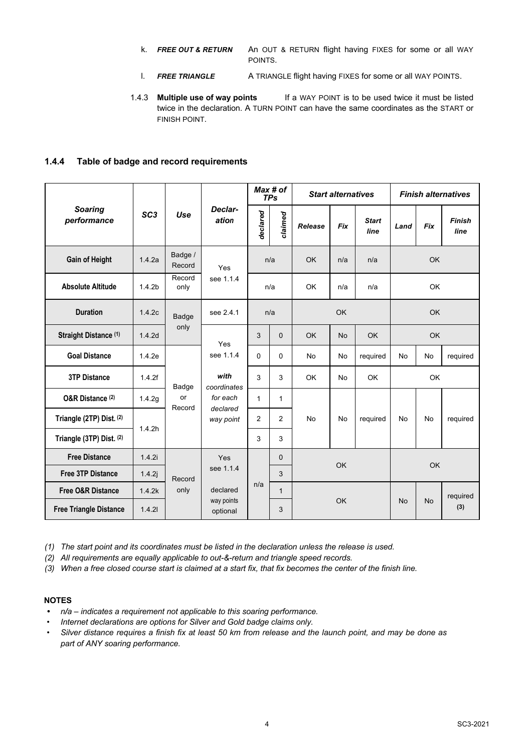- k. *FREE OUT & RETURN* An OUT & RETURN flight having FIXES for some or all WAY POINTS.
- l. *FREE TRIANGLE* A TRIANGLE flight having FIXES for some or all WAY POINTS.
- 1.4.3 **Multiple use of way points** If a WAY POINT is to be used twice it must be listed twice in the declaration. A TURN POINT can have the same coordinates as the START or FINISH POINT.

### **1.4.4 Table of badge and record requirements**

|                               |                    |                   |                                   | Max # of<br><b>TPs</b> |              | <b>Start alternatives</b> |            |                      | <b>Finish alternatives</b> |            |                       |   |      |             |   |   |           |           |                |   |           |           |
|-------------------------------|--------------------|-------------------|-----------------------------------|------------------------|--------------|---------------------------|------------|----------------------|----------------------------|------------|-----------------------|---|------|-------------|---|---|-----------|-----------|----------------|---|-----------|-----------|
| <b>Soaring</b><br>performance | SC <sub>3</sub>    | Use               | Declar-<br>ation                  | declared               | claimed      | Release                   | <b>Fix</b> | <b>Start</b><br>line | Land                       | <b>Fix</b> | <b>Finish</b><br>line |   |      |             |   |   |           |           |                |   |           |           |
| <b>Gain of Height</b>         | 1.4.2a             | Badge /<br>Record | Yes<br>see 1.1.4                  |                        | n/a          | <b>OK</b>                 | n/a        | n/a                  |                            | <b>OK</b>  |                       |   |      |             |   |   |           |           |                |   |           |           |
| <b>Absolute Altitude</b>      | 1.4.2 <sub>b</sub> | Record<br>only    |                                   |                        | n/a          | <b>OK</b>                 | n/a        | n/a                  |                            | <b>OK</b>  |                       |   |      |             |   |   |           |           |                |   |           |           |
| <b>Duration</b>               | 1.4.2c             | Badge             | see 2.4.1                         | n/a                    |              |                           | OK         |                      |                            | <b>OK</b>  |                       |   |      |             |   |   |           |           |                |   |           |           |
| Straight Distance (1)         | 1.4.2d             | only              | Yes                               | 3                      | $\Omega$     | <b>OK</b>                 | <b>No</b>  | <b>OK</b>            |                            | <b>OK</b>  |                       |   |      |             |   |   |           |           |                |   |           |           |
| <b>Goal Distance</b>          | 1.4.2e             |                   | see 1.1.4                         | 0                      | $\Omega$     | <b>No</b>                 | <b>No</b>  | required             | <b>No</b>                  | <b>No</b>  | required              |   |      |             |   |   |           |           |                |   |           |           |
| <b>3TP Distance</b>           | 1.4.2f             |                   |                                   |                        |              | Badge                     |            |                      |                            |            |                       |   | with | coordinates | 3 | 3 | <b>OK</b> | <b>No</b> | <b>OK</b>      |   | <b>OK</b> |           |
| O&R Distance <sup>(2)</sup>   | 1.4.2g             | or<br>Record      | for each<br>declared<br>way point |                        |              |                           |            |                      |                            |            | $\mathbf{1}$          | 1 |      |             |   |   |           |           |                |   |           |           |
| Triangle (2TP) Dist. (2)      | 1.4.2h             |                   |                                   |                        |              |                           |            |                      |                            |            |                       |   |      |             |   |   |           |           | $\overline{2}$ | 2 | <b>No</b> | <b>No</b> |
| Triangle (3TP) Dist. (2)      |                    |                   |                                   | 3                      | 3            |                           |            |                      |                            |            |                       |   |      |             |   |   |           |           |                |   |           |           |
| <b>Free Distance</b>          | 1.4.2i<br>Yes      |                   |                                   | $\Omega$               |              |                           |            |                      |                            |            |                       |   |      |             |   |   |           |           |                |   |           |           |
| <b>Free 3TP Distance</b>      | 1.4.2j             | Record            | see 1.1.4                         |                        | 3            | OK                        |            |                      |                            |            | OK                    |   |      |             |   |   |           |           |                |   |           |           |
| <b>Free O&amp;R Distance</b>  | 1.4.2k             | only              | declared                          | n/a                    | $\mathbf{1}$ |                           |            |                      |                            |            | required              |   |      |             |   |   |           |           |                |   |           |           |
| <b>Free Triangle Distance</b> | 1.4.21             |                   | way points<br>optional            |                        | 3            | OK                        |            |                      | <b>No</b><br><b>No</b>     | (3)        |                       |   |      |             |   |   |           |           |                |   |           |           |

*(1) The start point and its coordinates must be listed in the declaration unless the release is used.*

*(2) All requirements are equally applicable to out-&-return and triangle speed records.*

*(3) When a free closed course start is claimed at a start fix, that fix becomes the center of the finish line.*

### **NOTES**

- *• n/a – indicates a requirement not applicable to this soaring performance.*
- *• Internet declarations are options for Silver and Gold badge claims only.*
- *• Silver distance requires a finish fix at least 50 km from release and the launch point, and may be done as part of ANY soaring performance.*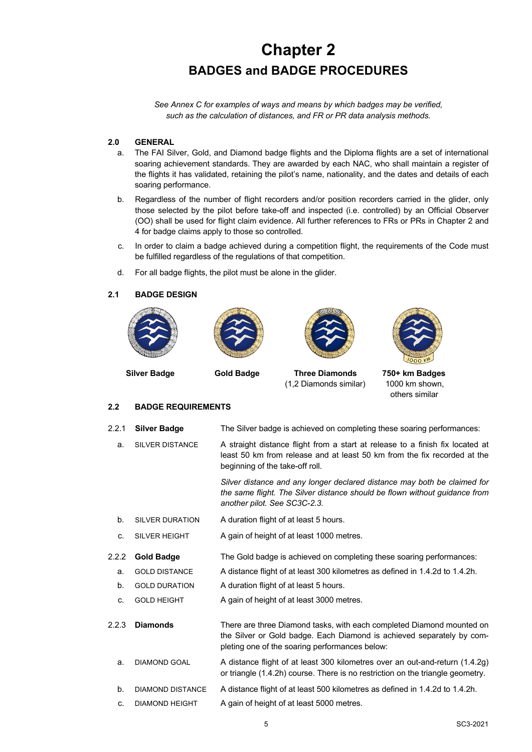# **Chapter 2 BADGES and BADGE PROCEDURES**

*See Annex C for examples of ways and means by which badges may be verified, such as the calculation of distances, and FR or PR data analysis methods.*

### **2.0 GENERAL**

- a. The FAI Silver, Gold, and Diamond badge flights and the Diploma flights are a set of international soaring achievement standards. They are awarded by each NAC, who shall maintain a register of the flights it has validated, retaining the pilot's name, nationality, and the dates and details of each soaring performance.
- b. Regardless of the number of flight recorders and/or position recorders carried in the glider, only those selected by the pilot before take-off and inspected (i.e. controlled) by an Official Observer (OO) shall be used for flight claim evidence. All further references to FRs or PRs in Chapter 2 and 4 for badge claims apply to those so controlled.
- c. In order to claim a badge achieved during a competition flight, the requirements of the Code must be fulfilled regardless of the regulations of that competition.
- d. For all badge flights, the pilot must be alone in the glider.

#### **2.1 BADGE DESIGN**





 **Silver Badge Gold Badge Three Diamonds 750+ km Badges** (1,2 Diamonds similar) 1000 km shown,

others similar

### **2.2 BADGE REQUIREMENTS**

| 2.2.1 | <b>Silver Badge</b>    | The Silver badge is achieved on completing these soaring performances:                                                                                                                           |
|-------|------------------------|--------------------------------------------------------------------------------------------------------------------------------------------------------------------------------------------------|
| a.    | <b>SILVER DISTANCE</b> | A straight distance flight from a start at release to a finish fix located at<br>least 50 km from release and at least 50 km from the fix recorded at the<br>beginning of the take-off roll.     |
|       |                        | Silver distance and any longer declared distance may both be claimed for<br>the same flight. The Silver distance should be flown without guidance from<br>another pilot. See SC3C-2.3.           |
| b.    | <b>SILVER DURATION</b> | A duration flight of at least 5 hours.                                                                                                                                                           |
| c.    | <b>SILVER HEIGHT</b>   | A gain of height of at least 1000 metres.                                                                                                                                                        |
| 2.2.2 | <b>Gold Badge</b>      | The Gold badge is achieved on completing these soaring performances:                                                                                                                             |
| a.    | <b>GOLD DISTANCE</b>   | A distance flight of at least 300 kilometres as defined in 1.4.2d to 1.4.2h.                                                                                                                     |
| b.    | <b>GOLD DURATION</b>   | A duration flight of at least 5 hours.                                                                                                                                                           |
| c.    | <b>GOLD HEIGHT</b>     | A gain of height of at least 3000 metres.                                                                                                                                                        |
| 2.2.3 | <b>Diamonds</b>        | There are three Diamond tasks, with each completed Diamond mounted on<br>the Silver or Gold badge. Each Diamond is achieved separately by com-<br>pleting one of the soaring performances below: |
| a.    | <b>DIAMOND GOAL</b>    | A distance flight of at least 300 kilometres over an out-and-return (1.4.2g)<br>or triangle (1.4.2h) course. There is no restriction on the triangle geometry.                                   |
| b.    | DIAMOND DISTANCE       | A distance flight of at least 500 kilometres as defined in 1.4.2d to 1.4.2h.                                                                                                                     |
| c.    | <b>DIAMOND HEIGHT</b>  | A gain of height of at least 5000 metres.                                                                                                                                                        |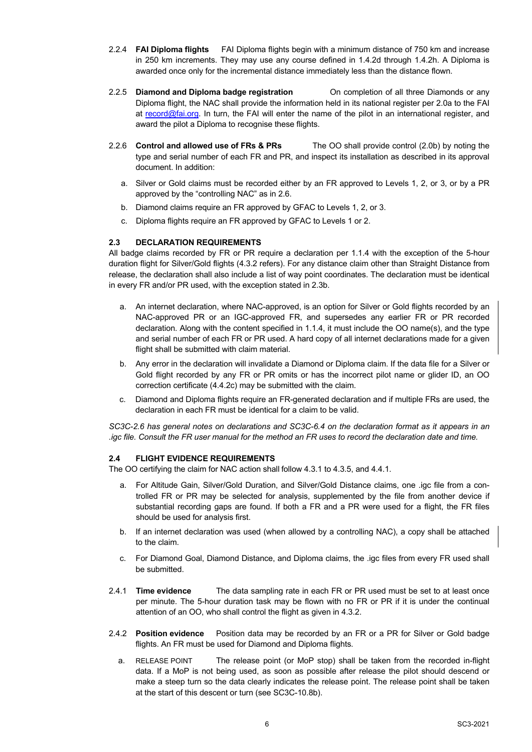- 2.2.4 **FAI Diploma flights** FAI Diploma flights begin with a minimum distance of 750 km and increase in 250 km increments. They may use any course defined in 1.4.2d through 1.4.2h. A Diploma is awarded once only for the incremental distance immediately less than the distance flown.
- 2.2.5 **Diamond and Diploma badge registration** On completion of all three Diamonds or any Diploma flight, the NAC shall provide the information held in its national register per 2.0a to the FAI at record@fai.org. In turn, the FAI will enter the name of the pilot in an international register, and award the pilot a Diploma to recognise these flights.
- 2.2.6 **Control and allowed use of FRs & PRs** The OO shall provide control (2.0b) by noting the type and serial number of each FR and PR, and inspect its installation as described in its approval document. In addition:
	- a. Silver or Gold claims must be recorded either by an FR approved to Levels 1, 2, or 3, or by a PR approved by the "controlling NAC" as in 2.6.
	- b. Diamond claims require an FR approved by GFAC to Levels 1, 2, or 3.
	- c. Diploma flights require an FR approved by GFAC to Levels 1 or 2.

### **2.3 DECLARATION REQUIREMENTS**

All badge claims recorded by FR or PR require a declaration per 1.1.4 with the exception of the 5-hour duration flight for Silver/Gold flights (4.3.2 refers). For any distance claim other than Straight Distance from release, the declaration shall also include a list of way point coordinates. The declaration must be identical in every FR and/or PR used, with the exception stated in 2.3b.

- a. An internet declaration, where NAC-approved, is an option for Silver or Gold flights recorded by an NAC-approved PR or an IGC-approved FR, and supersedes any earlier FR or PR recorded declaration. Along with the content specified in 1.1.4, it must include the OO name(s), and the type and serial number of each FR or PR used. A hard copy of all internet declarations made for a given flight shall be submitted with claim material.
- b. Any error in the declaration will invalidate a Diamond or Diploma claim. If the data file for a Silver or Gold flight recorded by any FR or PR omits or has the incorrect pilot name or glider ID, an OO correction certificate (4.4.2c) may be submitted with the claim.
- c. Diamond and Diploma flights require an FR-generated declaration and if multiple FRs are used, the declaration in each FR must be identical for a claim to be valid.

*SC3C-2.6 has general notes on declarations and SC3C-6.4 on the declaration format as it appears in an .igc file. Consult the FR user manual for the method an FR uses to record the declaration date and time.*

### **2.4 FLIGHT EVIDENCE REQUIREMENTS**

The OO certifying the claim for NAC action shall follow 4.3.1 to 4.3.5, and 4.4.1.

- a. For Altitude Gain, Silver/Gold Duration, and Silver/Gold Distance claims, one .igc file from a controlled FR or PR may be selected for analysis, supplemented by the file from another device if substantial recording gaps are found. If both a FR and a PR were used for a flight, the FR files should be used for analysis first.
- b. If an internet declaration was used (when allowed by a controlling NAC), a copy shall be attached to the claim.
- c. For Diamond Goal, Diamond Distance, and Diploma claims, the .igc files from every FR used shall be submitted.
- 2.4.1 **Time evidence** The data sampling rate in each FR or PR used must be set to at least once per minute. The 5-hour duration task may be flown with no FR or PR if it is under the continual attention of an OO, who shall control the flight as given in 4.3.2.
- 2.4.2 **Position evidence** Position data may be recorded by an FR or a PR for Silver or Gold badge flights. An FR must be used for Diamond and Diploma flights.
	- a. RELEASE POINT The release point (or MoP stop) shall be taken from the recorded in-flight data. If a MoP is not being used, as soon as possible after release the pilot should descend or make a steep turn so the data clearly indicates the release point. The release point shall be taken at the start of this descent or turn (see SC3C-10.8b).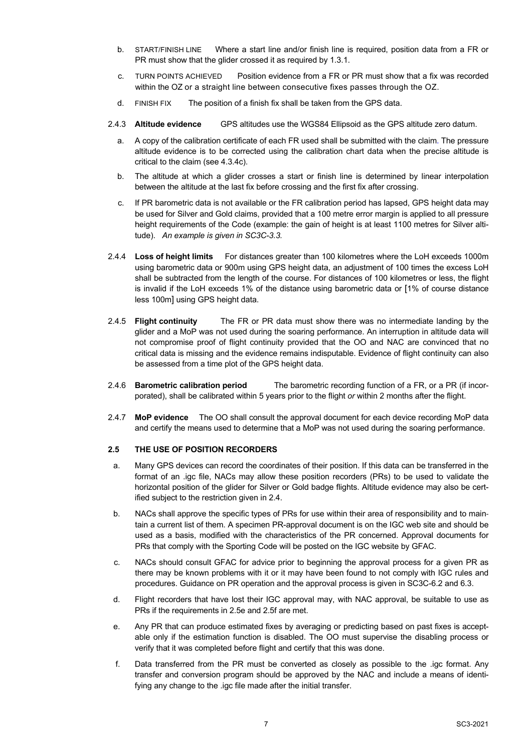- b. START/FINISH LINE Where a start line and/or finish line is required, position data from a FR or PR must show that the glider crossed it as required by 1.3.1.
- c. TURN POINTS ACHIEVED Position evidence from a FR or PR must show that a fix was recorded within the OZ or a straight line between consecutive fixes passes through the OZ.
- d. FINISH FIX The position of a finish fix shall be taken from the GPS data.
- 2.4.3 **Altitude evidence** GPS altitudes use the WGS84 Ellipsoid as the GPS altitude zero datum.
	- a. A copy of the calibration certificate of each FR used shall be submitted with the claim. The pressure altitude evidence is to be corrected using the calibration chart data when the precise altitude is critical to the claim (see 4.3.4c).
	- b. The altitude at which a glider crosses a start or finish line is determined by linear interpolation between the altitude at the last fix before crossing and the first fix after crossing.
	- c. If PR barometric data is not available or the FR calibration period has lapsed, GPS height data may be used for Silver and Gold claims, provided that a 100 metre error margin is applied to all pressure height requirements of the Code (example: the gain of height is at least 1100 metres for Silver altitude). *An example is given in SC3C-3.3.*
- 2.4.4 **Loss of height limits** For distances greater than 100 kilometres where the LoH exceeds 1000m using barometric data or 900m using GPS height data, an adjustment of 100 times the excess LoH shall be subtracted from the length of the course. For distances of 100 kilometres or less, the flight is invalid if the LoH exceeds 1% of the distance using barometric data or [1% of course distance less 100m] using GPS height data.
- 2.4.5 **Flight continuity** The FR or PR data must show there was no intermediate landing by the glider and a MoP was not used during the soaring performance. An interruption in altitude data will not compromise proof of flight continuity provided that the OO and NAC are convinced that no critical data is missing and the evidence remains indisputable. Evidence of flight continuity can also be assessed from a time plot of the GPS height data.
- 2.4.6 **Barometric calibration period** The barometric recording function of a FR, or a PR (if incorporated), shall be calibrated within 5 years prior to the flight *or* within 2 months after the flight.
- 2.4.7 **MoP evidence** The OO shall consult the approval document for each device recording MoP data and certify the means used to determine that a MoP was not used during the soaring performance.

### **2.5 THE USE OF POSITION RECORDERS**

- a. Many GPS devices can record the coordinates of their position. If this data can be transferred in the format of an .igc file, NACs may allow these position recorders (PRs) to be used to validate the horizontal position of the glider for Silver or Gold badge flights. Altitude evidence may also be certified subject to the restriction given in 2.4.
- b. NACs shall approve the specific types of PRs for use within their area of responsibility and to maintain a current list of them. A specimen PR-approval document is on the IGC web site and should be used as a basis, modified with the characteristics of the PR concerned. Approval documents for PRs that comply with the Sporting Code will be posted on the IGC website by GFAC.
- c. NACs should consult GFAC for advice prior to beginning the approval process for a given PR as there may be known problems with it or it may have been found to not comply with IGC rules and procedures. Guidance on PR operation and the approval process is given in SC3C-6.2 and 6.3.
- d. Flight recorders that have lost their IGC approval may, with NAC approval, be suitable to use as PRs if the requirements in 2.5e and 2.5f are met.
- e. Any PR that can produce estimated fixes by averaging or predicting based on past fixes is acceptable only if the estimation function is disabled. The OO must supervise the disabling process or verify that it was completed before flight and certify that this was done.
- f. Data transferred from the PR must be converted as closely as possible to the .igc format. Any transfer and conversion program should be approved by the NAC and include a means of identifying any change to the .igc file made after the initial transfer.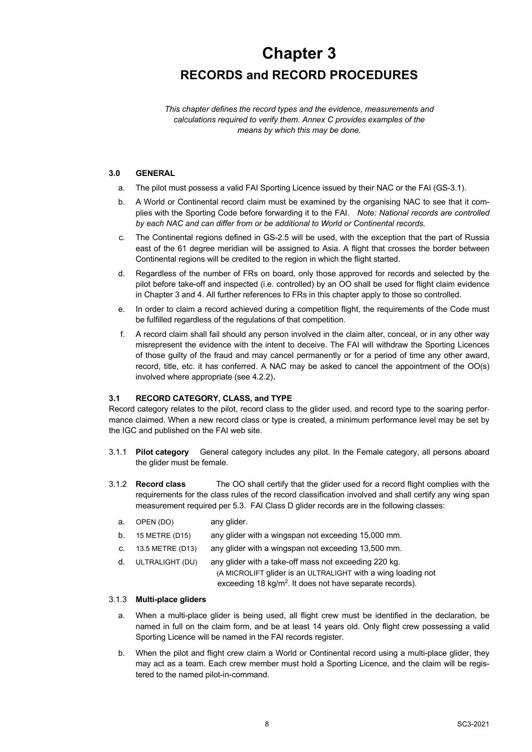# **Chapter 3 RECORDS and RECORD PROCEDURES**

*This chapter defines the record types and the evidence, measurements and calculations required to verify them. Annex C provides examples of the means by which this may be done.*

### **3.0 GENERAL**

- a. The pilot must possess a valid FAI Sporting Licence issued by their NAC or the FAI (GS-3.1).
- b. A World or Continental record claim must be examined by the organising NAC to see that it complies with the Sporting Code before forwarding it to the FAI. *Note: National records are controlled by each NAC and can differ from or be additional to World or Continental records.*
- c. The Continental regions defined in GS-2.5 will be used, with the exception that the part of Russia east of the 61 degree meridian will be assigned to Asia. A flight that crosses the border between Continental regions will be credited to the region in which the flight started.
- d. Regardless of the number of FRs on board, only those approved for records and selected by the pilot before take-off and inspected (i.e. controlled) by an OO shall be used for flight claim evidence in Chapter 3 and 4. All further references to FRs in this chapter apply to those so controlled.
- e. In order to claim a record achieved during a competition flight, the requirements of the Code must be fulfilled regardless of the regulations of that competition.
- f. A record claim shall fail should any person involved in the claim alter, conceal, or in any other way misrepresent the evidence with the intent to deceive. The FAI will withdraw the Sporting Licences of those guilty of the fraud and may cancel permanently or for a period of time any other award, record, title, etc. it has conferred. A NAC may be asked to cancel the appointment of the OO(s) involved where appropriate (see 4.2.2).

### **3.1 RECORD CATEGORY, CLASS, and TYPE**

Record category relates to the pilot, record class to the glider used, and record type to the soaring performance claimed. When a new record class or type is created, a minimum performance level may be set by the IGC and published on the FAI web site.

- 3.1.1 **Pilot category** General category includes any pilot. In the Female category, all persons aboard the glider must be female.
- 3.1.2 **Record class** The OO shall certify that the glider used for a record flight complies with the requirements for the class rules of the record classification involved and shall certify any wing span measurement required per 5.3. FAI Class D glider records are in the following classes:
	- a. OPEN (DO) any glider.
	- b. 15 METRE (D15) any glider with a wingspan not exceeding 15,000 mm.
	- c. 13.5 METRE (D13) any glider with a wingspan not exceeding 13,500 mm.

d. ULTRALIGHT (DU) any glider with a take-off mass not exceeding 220 kg. (A MICROLIFT glider is an ULTRALIGHT with a wing loading not exceeding 18 kg/m<sup>2</sup>. It does not have separate records).

#### 3.1.3 **Multi-place gliders**

- a. When a multi-place glider is being used, all flight crew must be identified in the declaration, be named in full on the claim form, and be at least 14 years old. Only flight crew possessing a valid Sporting Licence will be named in the FAI records register.
- b. When the pilot and flight crew claim a World or Continental record using a multi-place glider, they may act as a team. Each crew member must hold a Sporting Licence, and the claim will be registered to the named pilot-in-command.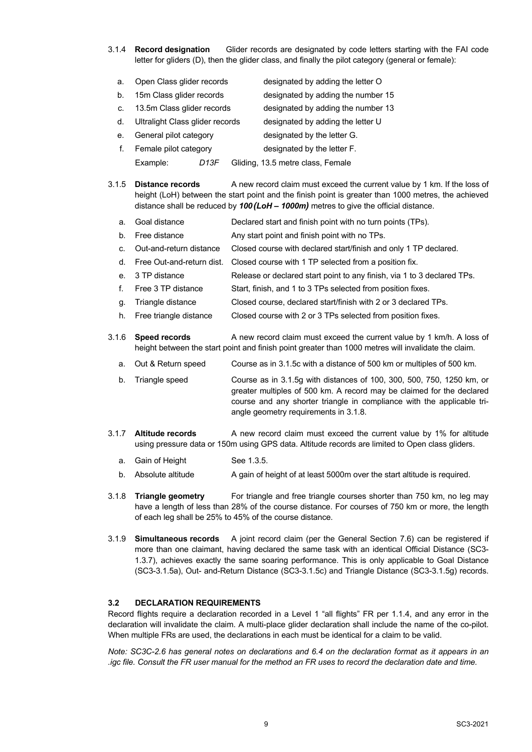3.1.4 **Record designation** Glider records are designated by code letters starting with the FAI code letter for gliders (D), then the glider class, and finally the pilot category (general or female):

| a.      | Open Class glider records       |      | designated by adding the letter O  |
|---------|---------------------------------|------|------------------------------------|
| b.      | 15m Class glider records        |      | designated by adding the number 15 |
| C.      | 13.5m Class glider records      |      | designated by adding the number 13 |
| $d_{-}$ | Ultralight Class glider records |      | designated by adding the letter U  |
| е.      | General pilot category          |      | designated by the letter G.        |
| f.      | Female pilot category           |      | designated by the letter F.        |
|         | Example:                        | D13F | Gliding, 13.5 metre class, Female  |

3.1.5 **Distance records** A new record claim must exceed the current value by 1 km. If the loss of height (LoH) between the start point and the finish point is greater than 1000 metres, the achieved distance shall be reduced by *100(LoH – 1000m)* metres to give the official distance.

- a. Goal distance Declared start and finish point with no turn points (TPs).
- b. Free distance Any start point and finish point with no TPs.
- c. Out-and-return distance Closed course with declared start/finish and only 1 TP declared.
- d. Free Out-and-return dist. Closed course with 1 TP selected from a position fix.
- e. 3 TP distance Release or declared start point to any finish, via 1 to 3 declared TPs.
- f. Free 3 TP distance Start, finish, and 1 to 3 TPs selected from position fixes.
- g. Triangle distance Closed course, declared start/finish with 2 or 3 declared TPs.
- h. Free triangle distance Closed course with 2 or 3 TPs selected from position fixes.

3.1.6 **Speed records** A new record claim must exceed the current value by 1 km/h. A loss of height between the start point and finish point greater than 1000 metres will invalidate the claim.

- a. Out & Return speed Course as in 3.1.5c with a distance of 500 km or multiples of 500 km.
- b. Triangle speed Course as in 3.1.5g with distances of 100, 300, 500, 750, 1250 km, or greater multiples of 500 km. A record may be claimed for the declared course and any shorter triangle in compliance with the applicable triangle geometry requirements in 3.1.8.
- 3.1.7 **Altitude records** A new record claim must exceed the current value by 1% for altitude using pressure data or 150m using GPS data. Altitude records are limited to Open class gliders.
	- a. Gain of Height See 1.3.5.
	- b. Absolute altitude A gain of height of at least 5000m over the start altitude is required.
- 3.1.8 **Triangle geometry** For triangle and free triangle courses shorter than 750 km, no leg may have a length of less than 28% of the course distance. For courses of 750 km or more, the length of each leg shall be 25% to 45% of the course distance.
- 3.1.9 **Simultaneous records** A joint record claim (per the General Section 7.6) can be registered if more than one claimant, having declared the same task with an identical Official Distance (SC3- 1.3.7), achieves exactly the same soaring performance. This is only applicable to Goal Distance (SC3-3.1.5a), Out- and-Return Distance (SC3-3.1.5c) and Triangle Distance (SC3-3.1.5g) records.

#### **3.2 DECLARATION REQUIREMENTS**

Record flights require a declaration recorded in a Level 1 "all flights" FR per 1.1.4, and any error in the declaration will invalidate the claim. A multi-place glider declaration shall include the name of the co-pilot. When multiple FRs are used, the declarations in each must be identical for a claim to be valid.

*Note: SC3C-2.6 has general notes on declarations and 6.4 on the declaration format as it appears in an .igc file. Consult the FR user manual for the method an FR uses to record the declaration date and time.*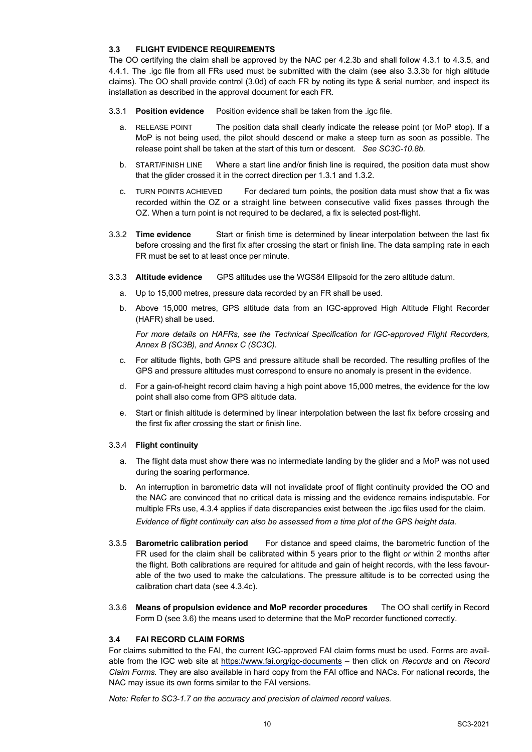### **3.3 FLIGHT EVIDENCE REQUIREMENTS**

The OO certifying the claim shall be approved by the NAC per 4.2.3b and shall follow 4.3.1 to 4.3.5, and 4.4.1. The .igc file from all FRs used must be submitted with the claim (see also 3.3.3b for high altitude claims). The OO shall provide control (3.0d) of each FR by noting its type & serial number, and inspect its installation as described in the approval document for each FR.

- 3.3.1 **Position evidence** Position evidence shall be taken from the .igc file.
	- a. RELEASE POINT The position data shall clearly indicate the release point (or MoP stop). If a MoP is not being used, the pilot should descend or make a steep turn as soon as possible. The release point shall be taken at the start of this turn or descent*. See SC3C-10.8b.*
	- b. START/FINISH LINE Where a start line and/or finish line is required, the position data must show that the glider crossed it in the correct direction per 1.3.1 and 1.3.2.
	- c. TURN POINTS ACHIEVED For declared turn points, the position data must show that a fix was recorded within the OZ or a straight line between consecutive valid fixes passes through the OZ. When a turn point is not required to be declared, a fix is selected post-flight.
- 3.3.2 **Time evidence** Start or finish time is determined by linear interpolation between the last fix before crossing and the first fix after crossing the start or finish line. The data sampling rate in each FR must be set to at least once per minute.
- 3.3.3 **Altitude evidence** GPS altitudes use the WGS84 Ellipsoid for the zero altitude datum.
	- a. Up to 15,000 metres, pressure data recorded by an FR shall be used.
	- b. Above 15,000 metres, GPS altitude data from an IGC-approved High Altitude Flight Recorder (HAFR) shall be used.

*For more details on HAFRs, see the Technical Specification for IGC-approved Flight Recorders, Annex B (SC3B), and Annex C (SC3C).*

- c. For altitude flights, both GPS and pressure altitude shall be recorded. The resulting profiles of the GPS and pressure altitudes must correspond to ensure no anomaly is present in the evidence.
- d. For a gain-of-height record claim having a high point above 15,000 metres, the evidence for the low point shall also come from GPS altitude data.
- e. Start or finish altitude is determined by linear interpolation between the last fix before crossing and the first fix after crossing the start or finish line.

### 3.3.4 **Flight continuity**

- a. The flight data must show there was no intermediate landing by the glider and a MoP was not used during the soaring performance.
- b. An interruption in barometric data will not invalidate proof of flight continuity provided the OO and the NAC are convinced that no critical data is missing and the evidence remains indisputable. For multiple FRs use, 4.3.4 applies if data discrepancies exist between the .igc files used for the claim. *Evidence of flight continuity can also be assessed from a time plot of the GPS height data*.
- 3.3.5 **Barometric calibration period** For distance and speed claims, the barometric function of the FR used for the claim shall be calibrated within 5 years prior to the flight *or* within 2 months after the flight. Both calibrations are required for altitude and gain of height records, with the less favourable of the two used to make the calculations. The pressure altitude is to be corrected using the calibration chart data (see 4.3.4c).
- 3.3.6 **Means of propulsion evidence and MoP recorder procedures** The OO shall certify in Record Form D (see 3.6) the means used to determine that the MoP recorder functioned correctly.

### **3.4 FAI RECORD CLAIM FORMS**

For claims submitted to the FAI, the current IGC-approved FAI claim forms must be used. Forms are available from the IGC web site at https://www.fai.org/igc-documents – then click on *Records* and on *Record Claim Forms.* They are also available in hard copy from the FAI office and NACs. For national records, the NAC may issue its own forms similar to the FAI versions.

*Note: Refer to SC3-1.7 on the accuracy and precision of claimed record values.*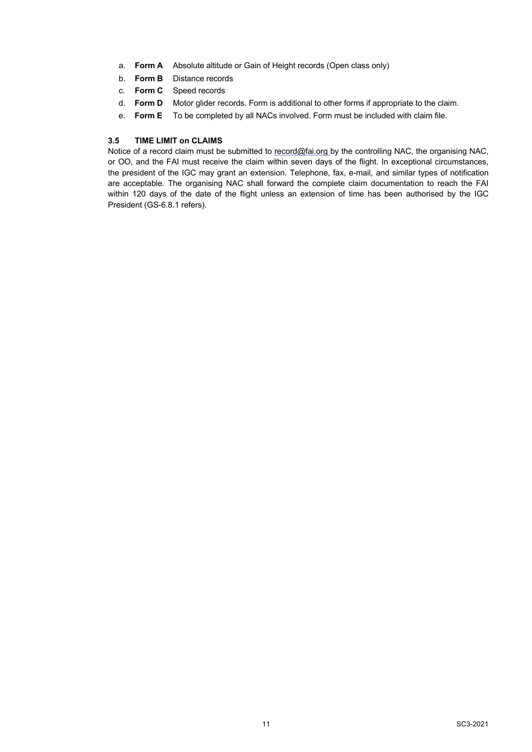- a. **Form A** Absolute altitude or Gain of Height records (Open class only)
- b. **Form B** Distance records
- c. **Form C** Speed records
- d. **Form D** Motor glider records. Form is additional to other forms if appropriate to the claim.
- e. **Form E** To be completed by all NACs involved. Form must be included with claim file.

### **3.5 TIME LIMIT on CLAIMS**

Notice of a record claim must be submitted to record@fai.org by the controlling NAC, the organising NAC, or OO, and the FAI must receive the claim within seven days of the flight. In exceptional circumstances, the president of the IGC may grant an extension. Telephone, fax, e-mail, and similar types of notification are acceptable. The organising NAC shall forward the complete claim documentation to reach the FAI within 120 days of the date of the flight unless an extension of time has been authorised by the IGC President (GS-6.8.1 refers).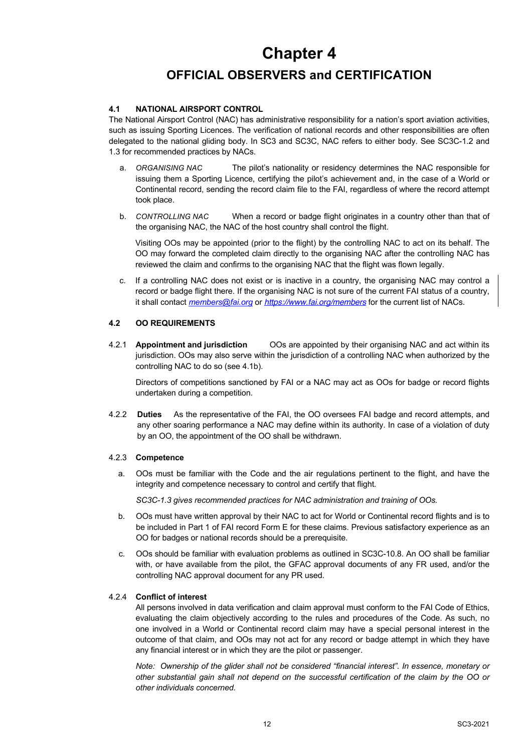# **Chapter 4**

### **OFFICIAL OBSERVERS and CERTIFICATION**

### **4.1 NATIONAL AIRSPORT CONTROL**

The National Airsport Control (NAC) has administrative responsibility for a nation's sport aviation activities, such as issuing Sporting Licences. The verification of national records and other responsibilities are often delegated to the national gliding body. In SC3 and SC3C, NAC refers to either body. See SC3C-1.2 and 1.3 for recommended practices by NACs.

- a. *ORGANISING NAC* The pilot's nationality or residency determines the NAC responsible for issuing them a Sporting Licence, certifying the pilot's achievement and, in the case of a World or Continental record, sending the record claim file to the FAI, regardless of where the record attempt took place.
- b. *CONTROLLING NAC* When a record or badge flight originates in a country other than that of the organising NAC, the NAC of the host country shall control the flight.

Visiting OOs may be appointed (prior to the flight) by the controlling NAC to act on its behalf. The OO may forward the completed claim directly to the organising NAC after the controlling NAC has reviewed the claim and confirms to the organising NAC that the flight was flown legally.

c. If a controlling NAC does not exist or is inactive in a country, the organising NAC may control a record or badge flight there. If the organising NAC is not sure of the current FAI status of a country, it shall contact *members@fai.org* or *https://www.fai.org/members* for the current list of NACs.

### **4.2 OO REQUIREMENTS**

4.2.1 **Appointment and jurisdiction** OOs are appointed by their organising NAC and act within its jurisdiction. OOs may also serve within the jurisdiction of a controlling NAC when authorized by the controlling NAC to do so (see 4.1b).

Directors of competitions sanctioned by FAI or a NAC may act as OOs for badge or record flights undertaken during a competition.

4.2.2 **Duties** As the representative of the FAI, the OO oversees FAI badge and record attempts, and any other soaring performance a NAC may define within its authority. In case of a violation of duty by an OO, the appointment of the OO shall be withdrawn.

### 4.2.3 **Competence**

a. OOs must be familiar with the Code and the air regulations pertinent to the flight, and have the integrity and competence necessary to control and certify that flight.

*SC3C-1.3 gives recommended practices for NAC administration and training of OOs.*

- b. OOs must have written approval by their NAC to act for World or Continental record flights and is to be included in Part 1 of FAI record Form E for these claims. Previous satisfactory experience as an OO for badges or national records should be a prerequisite.
- c. OOs should be familiar with evaluation problems as outlined in SC3C-10.8. An OO shall be familiar with, or have available from the pilot, the GFAC approval documents of any FR used, and/or the controlling NAC approval document for any PR used.

### 4.2.4 **Conflict of interest**

All persons involved in data verification and claim approval must conform to the FAI Code of Ethics, evaluating the claim objectively according to the rules and procedures of the Code. As such, no one involved in a World or Continental record claim may have a special personal interest in the outcome of that claim, and OOs may not act for any record or badge attempt in which they have any financial interest or in which they are the pilot or passenger.

*Note: Ownership of the glider shall not be considered "financial interest". In essence, monetary or other substantial gain shall not depend on the successful certification of the claim by the OO or other individuals concerned.*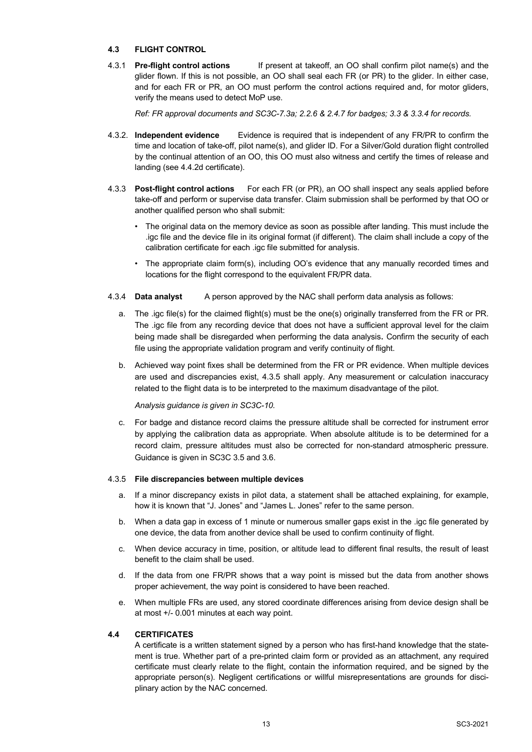### **4.3 FLIGHT CONTROL**

4.3.1 **Pre-flight control actions** If present at takeoff, an OO shall confirm pilot name(s) and the glider flown. If this is not possible, an OO shall seal each FR (or PR) to the glider. In either case, and for each FR or PR, an OO must perform the control actions required and, for motor gliders, verify the means used to detect MoP use.

*Ref: FR approval documents and SC3C-7.3a; 2.2.6 & 2.4.7 for badges; 3.3 & 3.3.4 for records.*

- 4.3.2. **Independent evidence** Evidence is required that is independent of any FR/PR to confirm the time and location of take-off, pilot name(s), and glider ID. For a Silver/Gold duration flight controlled by the continual attention of an OO, this OO must also witness and certify the times of release and landing (see 4.4.2d certificate).
- 4.3.3 **Post-flight control actions** For each FR (or PR), an OO shall inspect any seals applied before take-off and perform or supervise data transfer. Claim submission shall be performed by that OO or another qualified person who shall submit:
	- The original data on the memory device as soon as possible after landing. This must include the .igc file and the device file in its original format (if different). The claim shall include a copy of the calibration certificate for each .igc file submitted for analysis.
	- The appropriate claim form(s), including OO's evidence that any manually recorded times and locations for the flight correspond to the equivalent FR/PR data.
- 4.3.4 **Data analyst** A person approved by the NAC shall perform data analysis as follows:
	- a. The .igc file(s) for the claimed flight(s) must be the one(s) originally transferred from the FR or PR. The .igc file from any recording device that does not have a sufficient approval level for the claim being made shall be disregarded when performing the data analysis. Confirm the security of each file using the appropriate validation program and verify continuity of flight.
	- b. Achieved way point fixes shall be determined from the FR or PR evidence. When multiple devices are used and discrepancies exist, 4.3.5 shall apply. Any measurement or calculation inaccuracy related to the flight data is to be interpreted to the maximum disadvantage of the pilot.

*Analysis guidance is given in SC3C-10.*

c. For badge and distance record claims the pressure altitude shall be corrected for instrument error by applying the calibration data as appropriate. When absolute altitude is to be determined for a record claim, pressure altitudes must also be corrected for non-standard atmospheric pressure. Guidance is given in SC3C 3.5 and 3.6.

#### 4.3.5 **File discrepancies between multiple devices**

- a. If a minor discrepancy exists in pilot data, a statement shall be attached explaining, for example, how it is known that "J. Jones" and "James L. Jones" refer to the same person.
- b. When a data gap in excess of 1 minute or numerous smaller gaps exist in the .igc file generated by one device, the data from another device shall be used to confirm continuity of flight.
- c. When device accuracy in time, position, or altitude lead to different final results, the result of least benefit to the claim shall be used.
- d. If the data from one FR/PR shows that a way point is missed but the data from another shows proper achievement, the way point is considered to have been reached.
- e. When multiple FRs are used, any stored coordinate differences arising from device design shall be at most +/- 0.001 minutes at each way point.

### **4.4 CERTIFICATES**

A certificate is a written statement signed by a person who has first-hand knowledge that the statement is true. Whether part of a pre-printed claim form or provided as an attachment, any required certificate must clearly relate to the flight, contain the information required, and be signed by the appropriate person(s). Negligent certifications or willful misrepresentations are grounds for disciplinary action by the NAC concerned.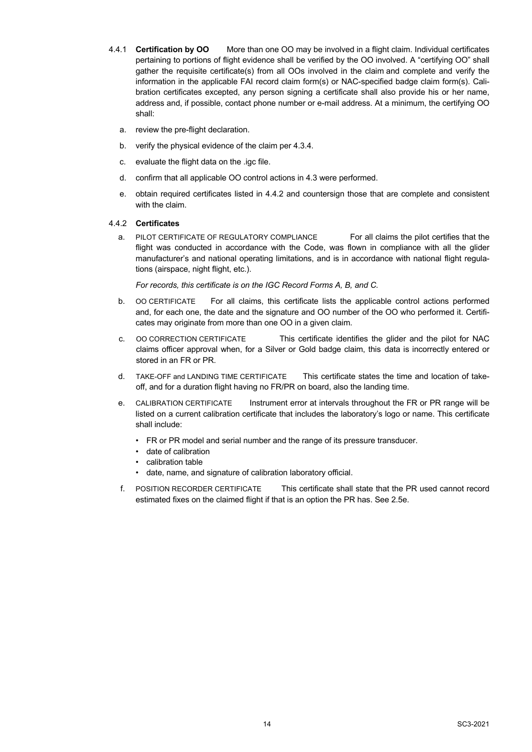- 4.4.1 **Certification by OO** More than one OO may be involved in a flight claim. Individual certificates pertaining to portions of flight evidence shall be verified by the OO involved. A "certifying OO" shall gather the requisite certificate(s) from all OOs involved in the claim and complete and verify the information in the applicable FAI record claim form(s) or NAC-specified badge claim form(s). Calibration certificates excepted, any person signing a certificate shall also provide his or her name, address and, if possible, contact phone number or e-mail address. At a minimum, the certifying OO shall:
	- a. review the pre-flight declaration.
	- b. verify the physical evidence of the claim per 4.3.4.
	- c. evaluate the flight data on the .igc file.
	- d. confirm that all applicable OO control actions in 4.3 were performed.
	- e. obtain required certificates listed in 4.4.2 and countersign those that are complete and consistent with the claim.

#### 4.4.2 **Certificates**

a. PILOT CERTIFICATE OF REGULATORY COMPLIANCE For all claims the pilot certifies that the flight was conducted in accordance with the Code, was flown in compliance with all the glider manufacturer's and national operating limitations, and is in accordance with national flight regulations (airspace, night flight, etc.).

*For records, this certificate is on the IGC Record Forms A, B, and C.*

- b. OO CERTIFICATE For all claims, this certificate lists the applicable control actions performed and, for each one, the date and the signature and OO number of the OO who performed it. Certificates may originate from more than one OO in a given claim.
- c. OO CORRECTION CERTIFICATE This certificate identifies the glider and the pilot for NAC claims officer approval when, for a Silver or Gold badge claim, this data is incorrectly entered or stored in an FR or PR.
- d. TAKE-OFF and LANDING TIME CERTIFICATE This certificate states the time and location of takeoff, and for a duration flight having no FR/PR on board, also the landing time.
- e. CALIBRATION CERTIFICATE Instrument error at intervals throughout the FR or PR range will be listed on a current calibration certificate that includes the laboratory's logo or name. This certificate shall include:
	- FR or PR model and serial number and the range of its pressure transducer.
	- date of calibration
	- calibration table
	- date, name, and signature of calibration laboratory official.
- f. POSITION RECORDER CERTIFICATE This certificate shall state that the PR used cannot record estimated fixes on the claimed flight if that is an option the PR has. See 2.5e.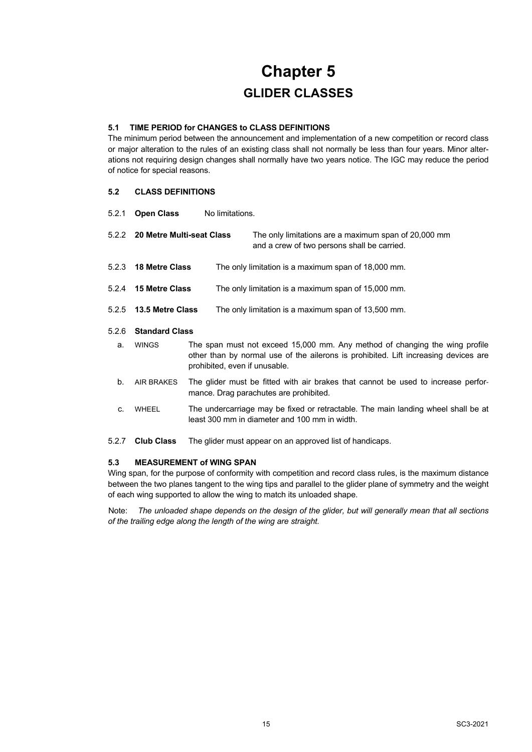# **Chapter 5 GLIDER CLASSES**

### **5.1 TIME PERIOD for CHANGES to CLASS DEFINITIONS**

The minimum period between the announcement and implementation of a new competition or record class or major alteration to the rules of an existing class shall not normally be less than four years. Minor alterations not requiring design changes shall normally have two years notice. The IGC may reduce the period of notice for special reasons.

### **5.2 CLASS DEFINITIONS**

| 5.2.1 | <b>Open Class</b>               | No limitations.                                                                                                                                                                                     |
|-------|---------------------------------|-----------------------------------------------------------------------------------------------------------------------------------------------------------------------------------------------------|
|       | 5.2.2 20 Metre Multi-seat Class | The only limitations are a maximum span of 20,000 mm<br>and a crew of two persons shall be carried.                                                                                                 |
| 5.2.3 | <b>18 Metre Class</b>           | The only limitation is a maximum span of 18,000 mm.                                                                                                                                                 |
| 5.2.4 | <b>15 Metre Class</b>           | The only limitation is a maximum span of 15,000 mm.                                                                                                                                                 |
| 5.2.5 | 13.5 Metre Class                | The only limitation is a maximum span of 13,500 mm.                                                                                                                                                 |
| 5.2.6 | <b>Standard Class</b>           |                                                                                                                                                                                                     |
| a.    | <b>WINGS</b>                    | The span must not exceed 15,000 mm. Any method of changing the wing profile<br>other than by normal use of the ailerons is prohibited. Lift increasing devices are<br>prohibited, even if unusable. |
| $b$ . | AIR BRAKES                      | The glider must be fitted with air brakes that cannot be used to increase perfor-<br>mance. Drag parachutes are prohibited.                                                                         |
| C.    | <b>WHEEL</b>                    | The undercarriage may be fixed or retractable. The main landing wheel shall be at<br>least 300 mm in diameter and 100 mm in width.                                                                  |
| 5.2.7 | <b>Club Class</b>               | The glider must appear on an approved list of handicaps.                                                                                                                                            |

### **5.3 MEASUREMENT of WING SPAN**

Wing span, for the purpose of conformity with competition and record class rules, is the maximum distance between the two planes tangent to the wing tips and parallel to the glider plane of symmetry and the weight of each wing supported to allow the wing to match its unloaded shape.

Note: *The unloaded shape depends on the design of the glider, but will generally mean that all sections of the trailing edge along the length of the wing are straight.*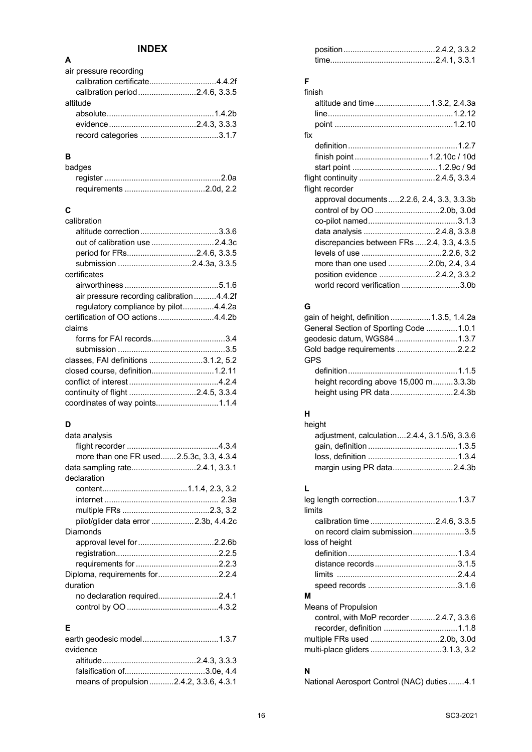### **INDEX**

| air pressure recording         |  |
|--------------------------------|--|
| calibration certificate4.4.2f  |  |
| calibration period2.4.6, 3.3.5 |  |
| altitude                       |  |
|                                |  |
|                                |  |
|                                |  |
|                                |  |

### **B**

**A**

| badges |  |
|--------|--|
|        |  |
|        |  |

### **C**

| calibration                              |  |
|------------------------------------------|--|
|                                          |  |
| out of calibration use 2.4.3c            |  |
| period for FRs2.4.6, 3.3.5               |  |
| submission 2.4.3a, 3.3.5                 |  |
| certificates                             |  |
|                                          |  |
| air pressure recording calibration4.4.2f |  |
| regulatory compliance by pilot4.4.2a     |  |
| certification of OO actions4.4.2b        |  |
| claims                                   |  |
| forms for FAI records3.4                 |  |
|                                          |  |
| classes, FAI definitions 3.1.2, 5.2      |  |
| closed course, definition1.2.11          |  |
|                                          |  |
| continuity of flight 2.4.5, 3.3.4        |  |
|                                          |  |
|                                          |  |

### **D**

| data analysis                           |  |
|-----------------------------------------|--|
|                                         |  |
| more than one FR used2.5.3c, 3.3, 4.3.4 |  |
| data sampling rate2.4.1, 3.3.1          |  |
| declaration                             |  |
|                                         |  |
|                                         |  |
|                                         |  |
| pilot/glider data error 2.3b, 4.4.2c    |  |
| Diamonds                                |  |
|                                         |  |
|                                         |  |
|                                         |  |
| Diploma, requirements for2.2.4          |  |
| duration                                |  |
| no declaration required2.4.1            |  |
|                                         |  |
|                                         |  |

### **E**

| evidence                                |  |
|-----------------------------------------|--|
|                                         |  |
|                                         |  |
| means of propulsion 2.4.2, 3.3.6, 4.3.1 |  |

### **F**

| finish                                     |  |
|--------------------------------------------|--|
| altitude and time1.3.2, 2.4.3a             |  |
|                                            |  |
|                                            |  |
| fix                                        |  |
|                                            |  |
| finish point  1.2.10c / 10d                |  |
|                                            |  |
|                                            |  |
| flight recorder                            |  |
| approval documents2.2.6, 2.4, 3.3, 3.3.3b  |  |
| control of by OO 2.0b, 3.0d                |  |
|                                            |  |
| data analysis 2.4.8, 3.3.8                 |  |
| discrepancies between FRs  2.4, 3.3, 4.3.5 |  |
|                                            |  |
| more than one used 2.0b, 2.4, 3.4          |  |
| position evidence 2.4.2, 3.3.2             |  |
| world record verification 3.0b             |  |

### **G**

| gain of height, definition 1.3.5, 1.4.2a |  |
|------------------------------------------|--|
| General Section of Sporting Code 1.0.1   |  |
|                                          |  |
| Gold badge requirements 2.2.2            |  |
| <b>GPS</b>                               |  |
|                                          |  |
| height recording above 15,000 m3.3.3b    |  |
| height using PR data2.4.3b               |  |

### **H**

| height                                       |  |
|----------------------------------------------|--|
| adjustment, calculation2.4.4, 3.1.5/6, 3.3.6 |  |
|                                              |  |
|                                              |  |
| margin using PR data2.4.3b                   |  |

### **L**

| limits                                  |  |
|-----------------------------------------|--|
| calibration time 2.4.6, 3.3.5           |  |
| on record claim submission3.5           |  |
| loss of height                          |  |
|                                         |  |
|                                         |  |
|                                         |  |
|                                         |  |
| М                                       |  |
| Means of Propulsion                     |  |
| control, with MoP recorder 2.4.7, 3.3.6 |  |
| recorder, definition 1.1.8              |  |
|                                         |  |
| multi-place gliders 3.1.3, 3.2          |  |

### **N**

National Aerosport Control (NAC) duties .......4.1